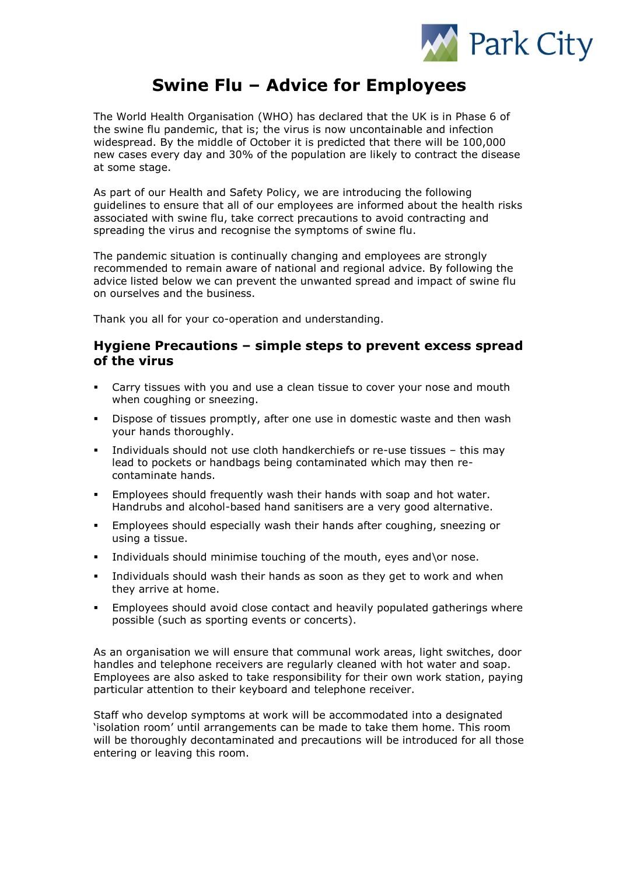

# **Swine Flu – Advice for Employees**

The World Health Organisation (WHO) has declared that the UK is in Phase 6 of the swine flu pandemic, that is; the virus is now uncontainable and infection widespread. By the middle of October it is predicted that there will be 100,000 new cases every day and 30% of the population are likely to contract the disease at some stage.

As part of our Health and Safety Policy, we are introducing the following guidelines to ensure that all of our employees are informed about the health risks associated with swine flu, take correct precautions to avoid contracting and spreading the virus and recognise the symptoms of swine flu.

The pandemic situation is continually changing and employees are strongly recommended to remain aware of national and regional advice. By following the advice listed below we can prevent the unwanted spread and impact of swine flu on ourselves and the business.

Thank you all for your co-operation and understanding.

#### **Hygiene Precautions – simple steps to prevent excess spread of the virus**

- Carry tissues with you and use a clean tissue to cover your nose and mouth when coughing or sneezing.
- Dispose of tissues promptly, after one use in domestic waste and then wash your hands thoroughly.
- Individuals should not use cloth handkerchiefs or re-use tissues this may lead to pockets or handbags being contaminated which may then recontaminate hands.
- **Employees should frequently wash their hands with soap and hot water.** Handrubs and alcohol-based hand sanitisers are a very good alternative.
- Employees should especially wash their hands after coughing, sneezing or using a tissue.
- Individuals should minimise touching of the mouth, eyes and\or nose.
- Individuals should wash their hands as soon as they get to work and when they arrive at home.
- Employees should avoid close contact and heavily populated gatherings where possible (such as sporting events or concerts).

As an organisation we will ensure that communal work areas, light switches, door handles and telephone receivers are regularly cleaned with hot water and soap. Employees are also asked to take responsibility for their own work station, paying particular attention to their keyboard and telephone receiver.

Staff who develop symptoms at work will be accommodated into a designated 'isolation room' until arrangements can be made to take them home. This room will be thoroughly decontaminated and precautions will be introduced for all those entering or leaving this room.